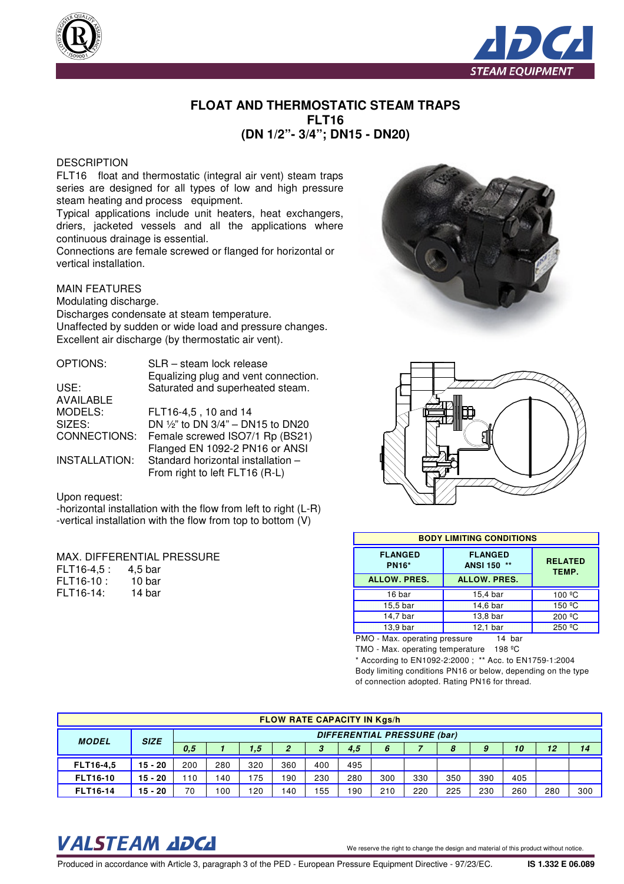



## **FLOAT AND THERMOSTATIC STEAM TRAPS FLT16 (DN 1/2"- 3/4"; DN15 - DN20)**

### **DESCRIPTION**

FLT16 float and thermostatic (integral air vent) steam traps series are designed for all types of low and high pressure steam heating and process equipment.

Typical applications include unit heaters, heat exchangers, driers, jacketed vessels and all the applications where continuous drainage is essential.

Connections are female screwed or flanged for horizontal or vertical installation.

### MAIN FEATURES

Modulating discharge.

Discharges condensate at steam temperature. Unaffected by sudden or wide load and pressure changes. Excellent air discharge (by thermostatic air vent).

| OPTIONS:             | SLR - steam lock release             |
|----------------------|--------------------------------------|
|                      | Equalizing plug and vent connection. |
| USE:                 | Saturated and superheated steam.     |
| <b>AVAILABLE</b>     |                                      |
| MODELS:              | FLT16-4,5, 10 and 14                 |
| SIZES:               | DN 1/2" to DN 3/4" - DN15 to DN20    |
| CONNECTIONS:         | Female screwed ISO7/1 Rp (BS21)      |
|                      | Flanged EN 1092-2 PN16 or ANSI       |
| <b>INSTALLATION:</b> | Standard horizontal installation -   |
|                      | From right to left FLT16 (R-L)       |
|                      |                                      |

#### Upon request:

-horizontal installation with the flow from left to right (L-R) -vertical installation with the flow from top to bottom (V)

#### MAX. DIFFERENTIAL PRESSURE

| FLT16-4,5 : | $4,5$ bar |
|-------------|-----------|
| FLT16-10 :  | 10 bar    |
| FLT16-14:   | 14 bar    |





| <b>BODY LIMITING CONDITIONS</b> |                               |                         |  |  |  |  |  |
|---------------------------------|-------------------------------|-------------------------|--|--|--|--|--|
| <b>FLANGED</b><br><b>PN16*</b>  | <b>FLANGED</b><br>ANSI 150 ** | <b>RELATED</b><br>TEMP. |  |  |  |  |  |
| <b>ALLOW. PRES.</b>             | <b>ALLOW. PRES.</b>           |                         |  |  |  |  |  |
| 16 bar                          | 15,4 bar                      | 100 °C                  |  |  |  |  |  |
| 15,5 bar                        | 14,6 bar                      | 150 °C                  |  |  |  |  |  |
| 14,7 bar                        | 13,8 bar                      | 200 °C                  |  |  |  |  |  |
| 13,9 bar                        | 12.1 bar                      | 250 °C                  |  |  |  |  |  |
| . .<br>----<br>. .              | .                             |                         |  |  |  |  |  |

PMO - Max. operating pressure 14 bar

TMO - Max. operating temperature 198 ºC

\* According to EN1092-2:2000 ; \*\* Acc. to EN1759-1:2004 Body limiting conditions PN16 or below, depending on the type of connection adopted. Rating PN16 for thread.

| <b>FLOW RATE CAPACITY IN Kgs/h</b> |             |     |     |                             |                |     |     |     |     |     |     |     |     |     |
|------------------------------------|-------------|-----|-----|-----------------------------|----------------|-----|-----|-----|-----|-----|-----|-----|-----|-----|
| <b>MODEL</b>                       | <b>SIZE</b> |     |     | DIFFERENTIAL PRESSURE (bar) |                |     |     |     |     |     |     |     |     |     |
|                                    |             | 0,5 |     | 1,5                         | $\overline{2}$ | 3   | 4,5 | 6   |     | 8   |     | 10  | 12  | 14  |
| FLT16-4,5                          | $15 - 20$   | 200 | 280 | 320                         | 360            | 400 | 495 |     |     |     |     |     |     |     |
| <b>FLT16-10</b>                    | $15 - 20$   | 10  | 140 | 75                          | 190            | 230 | 280 | 300 | 330 | 350 | 390 | 405 |     |     |
| <b>FLT16-14</b>                    | 15 - 20     | 70  | 100 | 120                         | 140            | 55  | 190 | 210 | 220 | 225 | 230 | 260 | 280 | 300 |

# VALSTEAM ADCA We reserve the right to change the design and material of this product without notice